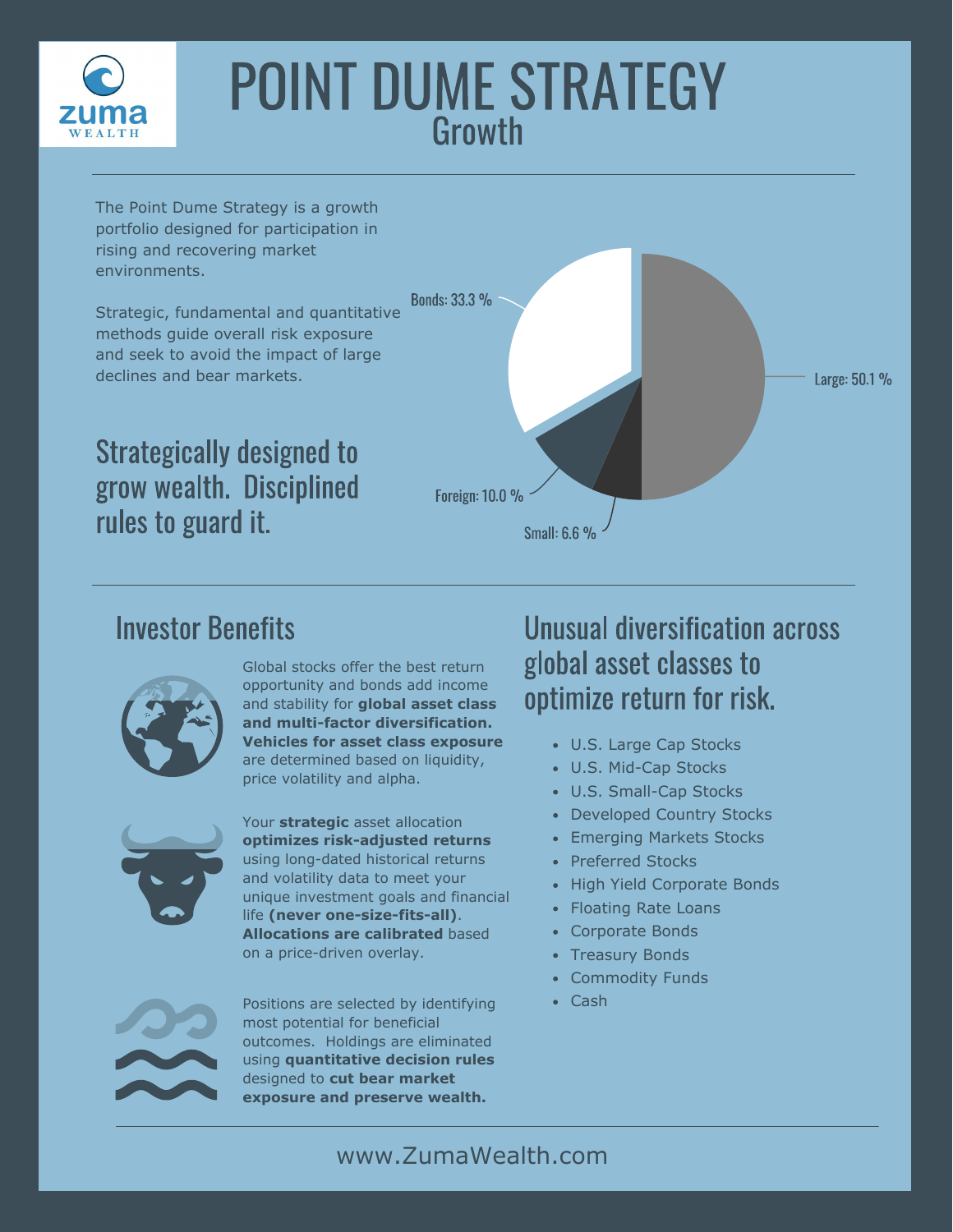

# POINT DUME STRATEGY **Growth**

The Point Dume Strategy is a growth portfolio designed for participation in rising and recovering market environments.

Strategic, fundamental and quantitative methods guide overall risk exposure and seek to avoid the impact of large declines and bear markets.

Strategically designed to grow wealth. Disciplined rules to guard it.



#### Investor Benefits



Global stocks offer the best return opportunity and bonds add income and stability for **global asset class and multi-factor diversification. Vehicles for asset class exposure**  are determined based on liquidity, price volatility and alpha.



Your **strategic** asset allocation **optimizes risk-adjusted returns**  using long-dated historical returns and volatility data to meet your unique investment goals and financial life **(never one-size-fits-all)**. **Allocations are calibrated** based on a price-driven overlay.

Positions are selected by identifying • Cash most potential for beneficial outcomes. Holdings are eliminated using **quantitative decision rules**  designed to **cut bear market exposure and preserve wealth.**

#### Unusual diversification across global asset classes to optimize return for risk.

- U.S. Large Cap Stocks
- U.S. Mid-Cap Stocks
- U.S. Small-Cap Stocks
- Developed Country Stocks
- Emerging Markets Stocks
- Preferred Stocks
- High Yield Corporate Bonds
- Floating Rate Loans
- Corporate Bonds
- Treasury Bonds
- Commodity Funds
-